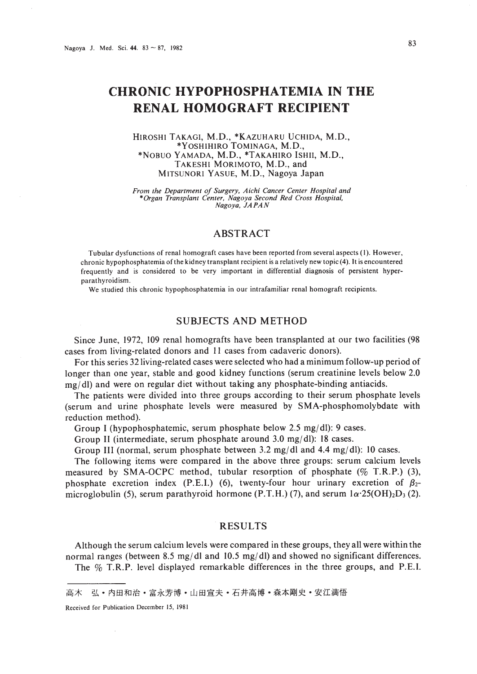# **CHRONIC HYPOPHOSPHATEMIA IN THE RENAL HOMOGRAFT RECIPIENT**

#### HIROSHI TAKAGI, M.D., \*KAZUHARU UCHIDA, M.D., \*YOSHIHIRO TOMINAGA, M.D., \*NOBUO YAMADA, M.D., \*TAKAHIRO ISHII, M.D., TAKESHI MORIMOTO, M.D., and MITSUNORI YASUE, M.D., Nagoya Japan

*From the Department of Surgery, Aichi Cancer Center Hospital and \*Organ Transplant Center. Nagoya Second Red Cross Hospital, Nagoya. JAPAN*

## ABSTRACT

Tubular dysfunctions of renal homograft cases have been reported from several aspects (I). However, chronic hypophosphatemia ofthe kidney transplant recipient is a relatively new topic (4). It is encountered frequently and is considered to be very important in differential diagnosis of persistent hyperparathyroidism.

We studied this chronic hypophosphatemia in our intrafamiliar renal homograft recipients.

# SUBJECTS AND METHOD

Since June, 1972, 109 renal homografts have been transplanted at our two facilities (98 cases from living-related donors and II cases from cadaveric donors).

For this series 32 living-related cases were selected who had a minimum follow-up period of longer than one year, stable and good kidney functions (serum creatinine levels below 2.0  $mg/dl$ ) and were on regular diet without taking any phosphate-binding antiacids.

The patients were divided into three groups according to their serum phosphate levels (serum and urine phosphate levels were measured by SMA-phosphomolybdate with reduction method).

Group I (hypophosphatemic, serum phosphate below 2.5 mg/dl): 9 cases.

Group II (intermediate, serum phosphate around  $3.0 \text{ mg/dl}$ ): 18 cases.

Group III (normal, serum phosphate between 3.2 mg/dl and 4.4 mg/dl): 10 cases.

The following items were compared in the above three groups: serum calcium levels measured by SMA-OCPC method, tubular resorption of phosphate (% T.R.P.) (3), phosphate excretion index (P.E.I.) (6), twenty-four hour urinary excretion of  $\beta_2$ microglobulin (5), serum parathyroid hormone (P.T.H.) (7), and serum  $1\alpha \cdot 25(OH)_2D_3$  (2).

#### RESULTS

Although the serum calcium levels were compared in these groups, they all were within the normal ranges (between 8.5 mg/dl and 10.5 mg/dl) and showed no significant differences. The % T.R.P. level displayed remarkable differences in the three groups, and P.E.I.

弘·内田和治·富永芳博·山田宣夫·石井高博·森本剛史·安江満悟 高木

Received for Publication December 15, 1981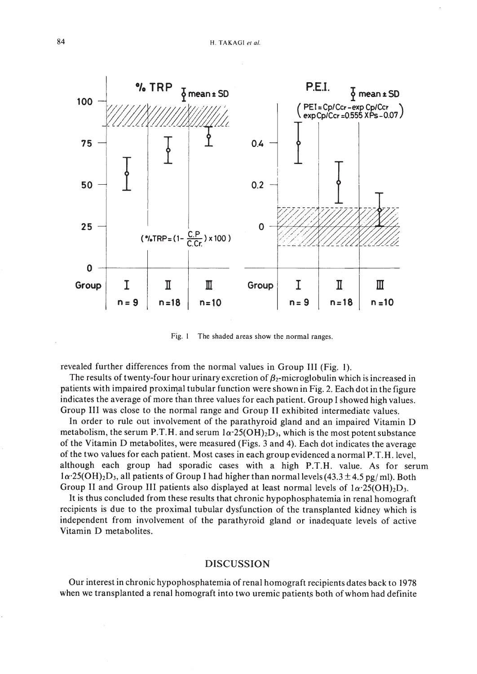

Fig. I The shaded areas show the normal ranges.

revealed further differences from the normal values in Group III (Fig. I).

The results of twenty-four hour urinary excretion of  $\beta_2$ -microglobulin which is increased in patients with impaired proximal tubular function were shown in Fig. 2. Each dot in the figure indicates the average of more than three values for each patient. Group I showed high values. Group III was close to the normal range and Group II exhibited intermediate values.

In order to rule out involvement of the parathyroid gland and an impaired Vitamin D metabolism, the serum P.T.H. and serum  $1\alpha \cdot 25(OH)_2D_3$ , which is the most potent substance of the Vitamin 0 metabolites, were measured (Figs. 3 and 4). Each dot indicates the average of the two values for each patient. Most cases in each group evidenced a normal P.T.H.level, although each group had sporadic cases with a high P.T.H. value. As for serum  $1\alpha$ ·25(OH)<sub>2</sub>D<sub>3</sub>, all patients of Group I had higher than normal levels (43.3 ± 4.5 pg/ml). Both Group II and Group III patients also displayed at least normal levels of  $1\alpha \cdot 25(OH)_2D_3$ .

It is thus concluded from these results that chronic hypophosphatemia in renal homograft recipients is due to the proximal tubular dysfunction of the transplanted kidney which is independent from involvement of the parathyroid gland or inadequate levels of active Vitamin D metabolites.

#### DISCUSSION

Our interest in chronic hypophosphatemia of renal homograft recipients dates back to 1978 when we transplanted a renal homograft into two uremic patients both of whom had definite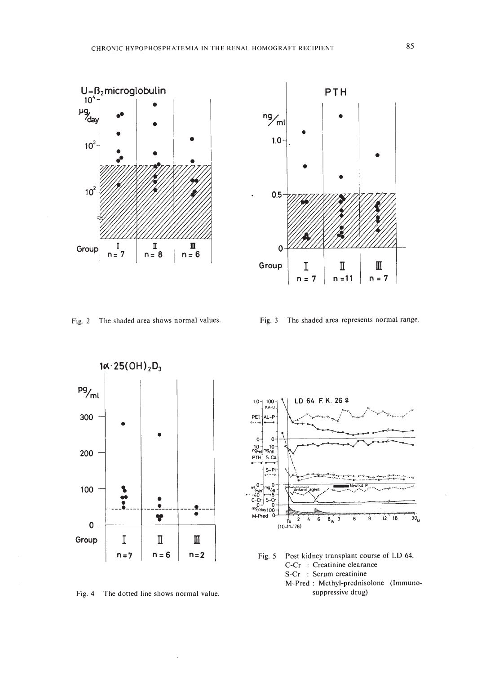



 $n = 11$ 

Group  $\begin{array}{|c|c|c|c|}\n\hline\nI & \Pi & \Pi \\
n=7 & n=11 & n=7\n\end{array}$ 

•

•

0.5



Fig. 4 The dotted line shows normal value.

 $\bar{z}$ 



Fig. 5 Post kidney transplant course of LD 64. C-Cr : Creatinine clearance S-Cr : Serum creatinine M-Pred: Methyl-prednisolone (Immunosuppressive drug)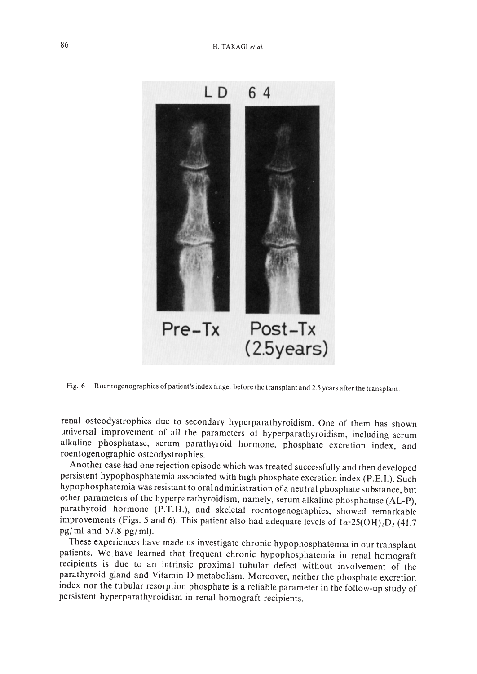

Fig. 6 Roentogenographies of patient's index finger before the transplant and 2.5 years after the transplant.

renal osteodystrophies due to secondary hyperparathyroidism. One of them has shown universal improvement of all the parameters of hyperparathyroidism, including serum alkaline phosphatase, serum parathyroid hormone, phosphate excretion index, and roentogenographic osteodystrophies.

Another case had one rejection episode which was treated successfully and then developed persistent hypophosphatemia associated with high phosphate excretion index (P.E.I.). Such hypophosphatemia was resistant to oral administration of a neutral phosphate substance, but other parameters of the hyperparathyroidism, namely, serum alkaline phosphatase (AL-P), parathyroid hormone (P.T.H.), and skeletal roentogenographies, showed remarkable improvements (Figs. 5 and 6). This patient also had adequate levels of  $1\alpha \cdot 25(OH)_2D_3$  (41.7 pg/ml and  $57.8$  pg/ml).

These experiences have made us investigate chronic hypophosphatemia in our transplant patients. We have learned that frequent chronic hypophosphatemia in renal homograft recipients is due to an intrinsic proximal tubular defect without involvement of the parathyroid gland and Vitamin D metabolism. Moreover, neither the phosphate excretion index nor the tubular resorption phosphate is a reliable parameter in the follow-up study of persistent hyperparathyroidism in renal homograft recipients.